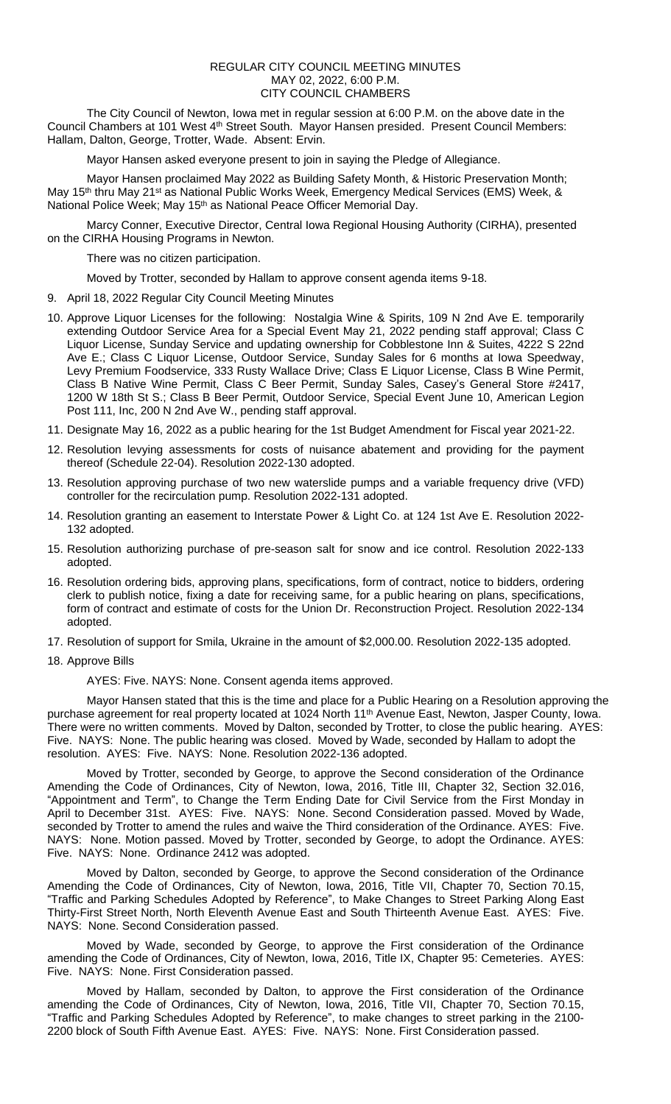## REGULAR CITY COUNCIL MEETING MINUTES MAY 02, 2022, 6:00 P.M. CITY COUNCIL CHAMBERS

The City Council of Newton, Iowa met in regular session at 6:00 P.M. on the above date in the Council Chambers at 101 West 4<sup>th</sup> Street South. Mayor Hansen presided. Present Council Members: Hallam, Dalton, George, Trotter, Wade. Absent: Ervin.

Mayor Hansen asked everyone present to join in saying the Pledge of Allegiance.

Mayor Hansen proclaimed May 2022 as Building Safety Month, & Historic Preservation Month; May 15<sup>th</sup> thru May 21<sup>st</sup> as National Public Works Week, Emergency Medical Services (EMS) Week, & National Police Week; May 15<sup>th</sup> as National Peace Officer Memorial Day.

Marcy Conner, Executive Director, Central Iowa Regional Housing Authority (CIRHA), presented on the CIRHA Housing Programs in Newton.

There was no citizen participation.

Moved by Trotter, seconded by Hallam to approve consent agenda items 9-18.

- 9. April 18, 2022 Regular City Council Meeting Minutes
- 10. Approve Liquor Licenses for the following: Nostalgia Wine & Spirits, 109 N 2nd Ave E. temporarily extending Outdoor Service Area for a Special Event May 21, 2022 pending staff approval; Class C Liquor License, Sunday Service and updating ownership for Cobblestone Inn & Suites, 4222 S 22nd Ave E.; Class C Liquor License, Outdoor Service, Sunday Sales for 6 months at Iowa Speedway, Levy Premium Foodservice, 333 Rusty Wallace Drive; Class E Liquor License, Class B Wine Permit, Class B Native Wine Permit, Class C Beer Permit, Sunday Sales, Casey's General Store #2417, 1200 W 18th St S.; Class B Beer Permit, Outdoor Service, Special Event June 10, American Legion Post 111, Inc, 200 N 2nd Ave W., pending staff approval.
- 11. Designate May 16, 2022 as a public hearing for the 1st Budget Amendment for Fiscal year 2021-22.
- 12. Resolution levying assessments for costs of nuisance abatement and providing for the payment thereof (Schedule 22-04). Resolution 2022-130 adopted.
- 13. Resolution approving purchase of two new waterslide pumps and a variable frequency drive (VFD) controller for the recirculation pump. Resolution 2022-131 adopted.
- 14. Resolution granting an easement to Interstate Power & Light Co. at 124 1st Ave E. Resolution 2022- 132 adopted.
- 15. Resolution authorizing purchase of pre-season salt for snow and ice control. Resolution 2022-133 adopted.
- 16. Resolution ordering bids, approving plans, specifications, form of contract, notice to bidders, ordering clerk to publish notice, fixing a date for receiving same, for a public hearing on plans, specifications, form of contract and estimate of costs for the Union Dr. Reconstruction Project. Resolution 2022-134 adopted.
- 17. Resolution of support for Smila, Ukraine in the amount of \$2,000.00. Resolution 2022-135 adopted.
- 18. Approve Bills

AYES: Five. NAYS: None. Consent agenda items approved.

Mayor Hansen stated that this is the time and place for a Public Hearing on a Resolution approving the purchase agreement for real property located at 1024 North 11<sup>th</sup> Avenue East, Newton, Jasper County, Iowa. There were no written comments. Moved by Dalton, seconded by Trotter, to close the public hearing. AYES: Five. NAYS: None. The public hearing was closed. Moved by Wade, seconded by Hallam to adopt the resolution. AYES: Five. NAYS: None. Resolution 2022-136 adopted.

Moved by Trotter, seconded by George, to approve the Second consideration of the Ordinance Amending the Code of Ordinances, City of Newton, Iowa, 2016, Title III, Chapter 32, Section 32.016, "Appointment and Term", to Change the Term Ending Date for Civil Service from the First Monday in April to December 31st. AYES: Five. NAYS: None. Second Consideration passed. Moved by Wade, seconded by Trotter to amend the rules and waive the Third consideration of the Ordinance. AYES: Five. NAYS: None. Motion passed. Moved by Trotter, seconded by George, to adopt the Ordinance. AYES: Five. NAYS: None. Ordinance 2412 was adopted.

Moved by Dalton, seconded by George, to approve the Second consideration of the Ordinance Amending the Code of Ordinances, City of Newton, Iowa, 2016, Title VII, Chapter 70, Section 70.15, "Traffic and Parking Schedules Adopted by Reference", to Make Changes to Street Parking Along East Thirty-First Street North, North Eleventh Avenue East and South Thirteenth Avenue East. AYES: Five. NAYS: None. Second Consideration passed.

Moved by Wade, seconded by George, to approve the First consideration of the Ordinance amending the Code of Ordinances, City of Newton, Iowa, 2016, Title IX, Chapter 95: Cemeteries. AYES: Five. NAYS: None. First Consideration passed.

Moved by Hallam, seconded by Dalton, to approve the First consideration of the Ordinance amending the Code of Ordinances, City of Newton, Iowa, 2016, Title VII, Chapter 70, Section 70.15, "Traffic and Parking Schedules Adopted by Reference", to make changes to street parking in the 2100- 2200 block of South Fifth Avenue East. AYES: Five. NAYS: None. First Consideration passed.